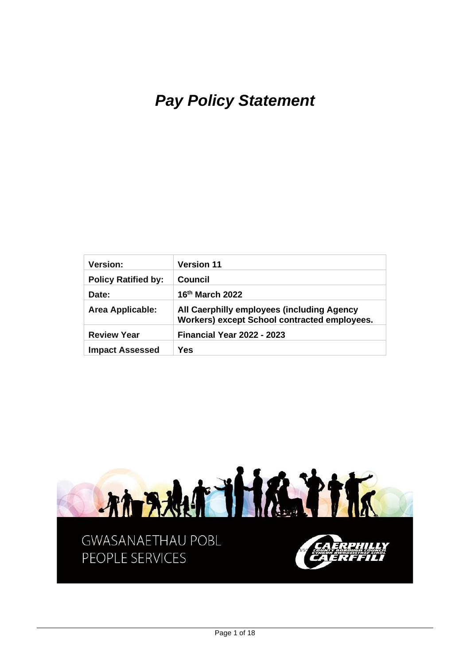# *Pay Policy Statement*

| <b>Version:</b>            | <b>Version 11</b>                                                                          |
|----------------------------|--------------------------------------------------------------------------------------------|
| <b>Policy Ratified by:</b> | Council                                                                                    |
| Date:                      | 16 <sup>th</sup> March 2022                                                                |
| <b>Area Applicable:</b>    | All Caerphilly employees (including Agency<br>Workers) except School contracted employees. |
| <b>Review Year</b>         | <b>Financial Year 2022 - 2023</b>                                                          |
| <b>Impact Assessed</b>     | Yes                                                                                        |

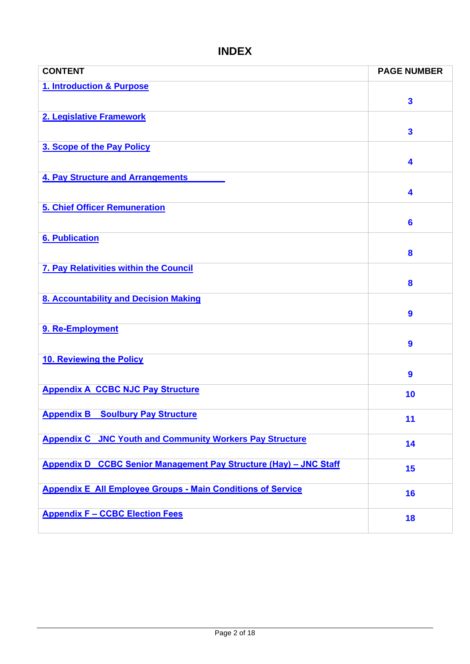# **INDEX**

<span id="page-1-0"></span>

| <b>CONTENT</b>                                                     | <b>PAGE NUMBER</b>      |
|--------------------------------------------------------------------|-------------------------|
| 1. Introduction & Purpose                                          |                         |
|                                                                    | $\overline{\mathbf{3}}$ |
| 2. Legislative Framework                                           |                         |
|                                                                    | $\overline{\mathbf{3}}$ |
| 3. Scope of the Pay Policy                                         |                         |
|                                                                    | 4                       |
| 4. Pay Structure and Arrangements                                  |                         |
|                                                                    | 4                       |
| <b>5. Chief Officer Remuneration</b>                               |                         |
|                                                                    | $6\phantom{1}$          |
| <b>6. Publication</b>                                              |                         |
|                                                                    | 8                       |
| 7. Pay Relativities within the Council                             |                         |
|                                                                    | 8                       |
| 8. Accountability and Decision Making                              |                         |
|                                                                    | $\boldsymbol{9}$        |
| 9. Re-Employment                                                   |                         |
|                                                                    | $\boldsymbol{9}$        |
| 10. Reviewing the Policy                                           |                         |
|                                                                    | $\boldsymbol{9}$        |
| <b>Appendix A CCBC NJC Pay Structure</b>                           | 10                      |
|                                                                    |                         |
| <b>Appendix B</b><br><b>Soulbury Pay Structure</b>                 | 11                      |
| <b>Appendix C JNC Youth and Community Workers Pay Structure</b>    | 14                      |
|                                                                    |                         |
| Appendix D CCBC Senior Management Pay Structure (Hay) - JNC Staff  | 15                      |
| <b>Appendix E All Employee Groups - Main Conditions of Service</b> | 16                      |
|                                                                    |                         |
| <b>Appendix F - CCBC Election Fees</b>                             | 18                      |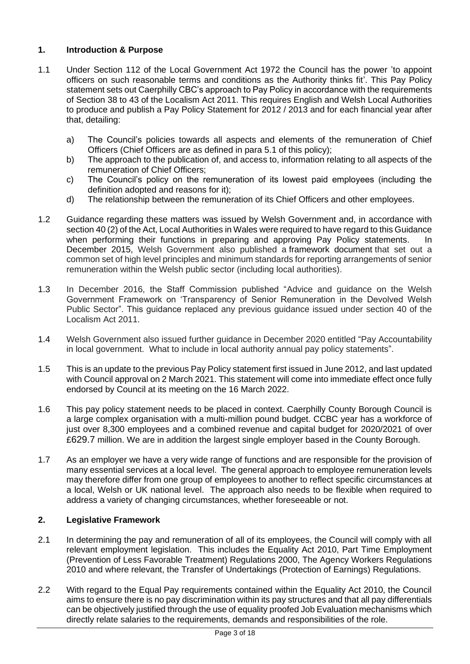# **1. Introduction & Purpose**

- 1.1 Under Section 112 of the Local Government Act 1972 the Council has the power 'to appoint officers on such reasonable terms and conditions as the Authority thinks fit'. This Pay Policy statement sets out Caerphilly CBC's approach to Pay Policy in accordance with the requirements of Section 38 to 43 of the Localism Act 2011. This requires English and Welsh Local Authorities to produce and publish a Pay Policy Statement for 2012 / 2013 and for each financial year after that, detailing:
	- a) The Council's policies towards all aspects and elements of the remuneration of Chief Officers (Chief Officers are as defined in para 5.1 of this policy);
	- b) The approach to the publication of, and access to, information relating to all aspects of the remuneration of Chief Officers;
	- c) The Council's policy on the remuneration of its lowest paid employees (including the definition adopted and reasons for it);
	- d) The relationship between the remuneration of its Chief Officers and other employees.
- 1.2 Guidance regarding these matters was issued by Welsh Government and, in accordance with section 40 (2) of the Act, Local Authorities in Wales were required to have regard to this Guidance when performing their functions in preparing and approving Pay Policy statements. In December 2015, Welsh Government also published a [framework document](https://gov.wales/transparency-senior-pay-devolved-welsh-public-sector) that set out a common set of high level principles and minimum standards for reporting arrangements of senior remuneration within the Welsh public sector (including local authorities).
- 1.3 In December 2016, the Staff Commission published "Advice and guidance on the Welsh Government Framework on 'Transparency of Senior Remuneration in the Devolved Welsh Public Sector". This guidance replaced any previous guidance issued under section 40 of the Localism Act 2011.
- 1.4 Welsh Government also issued further guidance in December 2020 entitled "Pay Accountability in local government. What to include in local authority annual pay policy statements".
- 1.5 This is an update to the previous Pay Policy statement first issued in June 2012, and last updated with Council approval on 2 March 2021. This statement will come into immediate effect once fully endorsed by Council at its meeting on the 16 March 2022.
- 1.6 This pay policy statement needs to be placed in context. Caerphilly County Borough Council is a large complex organisation with a multi-million pound budget. CCBC year has a workforce of just over 8,300 employees and a combined revenue and capital budget for 2020/2021 of over £629.7 million. We are in addition the largest single employer based in the County Borough.
- 1.7 As an employer we have a very wide range of functions and are responsible for the provision of many essential services at a local level. The general approach to employee remuneration levels may therefore differ from one group of employees to another to reflect specific circumstances at a local, Welsh or UK national level. The approach also needs to be flexible when required to address a variety of changing circumstances, whether foreseeable or not.

# <span id="page-2-0"></span>**2. Legislative Framework**

- 2.1 In determining the pay and remuneration of all of its employees, the Council will comply with all relevant employment legislation. This includes the Equality Act 2010, Part Time Employment (Prevention of Less Favorable Treatment) Regulations 2000, The Agency Workers Regulations 2010 and where relevant, the Transfer of Undertakings (Protection of Earnings) Regulations.
- 2.2 With regard to the Equal Pay requirements contained within the Equality Act 2010, the Council aims to ensure there is no pay discrimination within its pay structures and that all pay differentials can be objectively justified through the use of equality proofed Job Evaluation mechanisms which directly relate salaries to the requirements, demands and responsibilities of the role.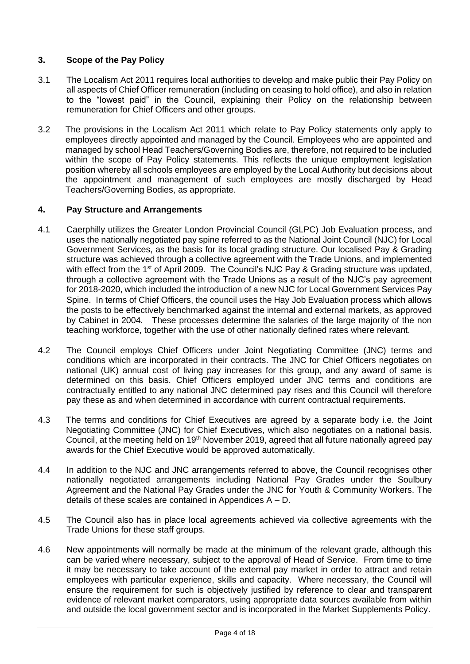# <span id="page-3-0"></span>**3. Scope of the Pay Policy**

- 3.1 The Localism Act 2011 requires local authorities to develop and make public their Pay Policy on all aspects of Chief Officer remuneration (including on ceasing to hold office), and also in relation to the "lowest paid" in the Council, explaining their Policy on the relationship between remuneration for Chief Officers and other groups.
- 3.2 The provisions in the Localism Act 2011 which relate to Pay Policy statements only apply to employees directly appointed and managed by the Council. Employees who are appointed and managed by school Head Teachers/Governing Bodies are, therefore, not required to be included within the scope of Pay Policy statements. This reflects the unique employment legislation position whereby all schools employees are employed by the Local Authority but decisions about the appointment and management of such employees are mostly discharged by Head Teachers/Governing Bodies, as appropriate.

### <span id="page-3-1"></span>**4. Pay Structure and Arrangements**

- 4.1 Caerphilly utilizes the Greater London Provincial Council (GLPC) Job Evaluation process, and uses the nationally negotiated pay spine referred to as the National Joint Council (NJC) for Local Government Services, as the basis for its local grading structure. Our localised Pay & Grading structure was achieved through a collective agreement with the Trade Unions, and implemented with effect from the 1<sup>st</sup> of April 2009. The Council's NJC Pay & Grading structure was updated, through a collective agreement with the Trade Unions as a result of the NJC's pay agreement for 2018-2020, which included the introduction of a new NJC for Local Government Services Pay Spine. In terms of Chief Officers, the council uses the Hay Job Evaluation process which allows the posts to be effectively benchmarked against the internal and external markets, as approved by Cabinet in 2004. These processes determine the salaries of the large majority of the non teaching workforce, together with the use of other nationally defined rates where relevant.
- 4.2 The Council employs Chief Officers under Joint Negotiating Committee (JNC) terms and conditions which are incorporated in their contracts. The JNC for Chief Officers negotiates on national (UK) annual cost of living pay increases for this group, and any award of same is determined on this basis. Chief Officers employed under JNC terms and conditions are contractually entitled to any national JNC determined pay rises and this Council will therefore pay these as and when determined in accordance with current contractual requirements.
- 4.3 The terms and conditions for Chief Executives are agreed by a separate body i.e. the Joint Negotiating Committee (JNC) for Chief Executives, which also negotiates on a national basis. Council, at the meeting held on 19th November 2019, agreed that all future nationally agreed pay awards for the Chief Executive would be approved automatically.
- 4.4 In addition to the NJC and JNC arrangements referred to above, the Council recognises other nationally negotiated arrangements including National Pay Grades under the Soulbury Agreement and the National Pay Grades under the JNC for Youth & Community Workers. The details of these scales are contained in Appendices A – D.
- 4.5 The Council also has in place local agreements achieved via collective agreements with the Trade Unions for these staff groups.
- 4.6 New appointments will normally be made at the minimum of the relevant grade, although this can be varied where necessary, subject to the approval of Head of Service. From time to time it may be necessary to take account of the external pay market in order to attract and retain employees with particular experience, skills and capacity. Where necessary, the Council will ensure the requirement for such is objectively justified by reference to clear and transparent evidence of relevant market comparators, using appropriate data sources available from within and outside the local government sector and is incorporated in the Market Supplements Policy.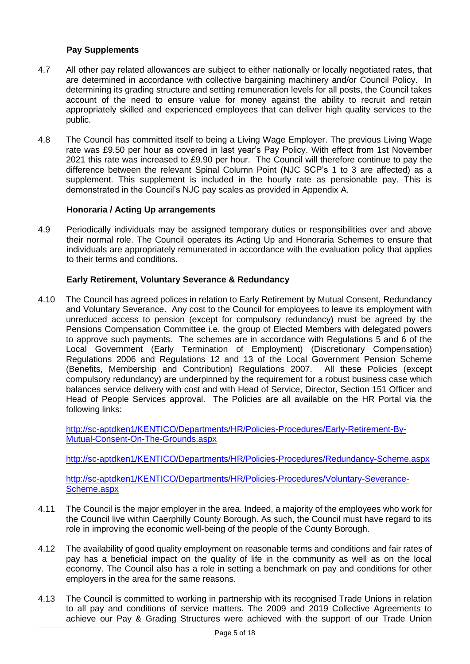## **Pay Supplements**

- 4.7 All other pay related allowances are subject to either nationally or locally negotiated rates, that are determined in accordance with collective bargaining machinery and/or Council Policy. In determining its grading structure and setting remuneration levels for all posts, the Council takes account of the need to ensure value for money against the ability to recruit and retain appropriately skilled and experienced employees that can deliver high quality services to the public.
- 4.8 The Council has committed itself to being a Living Wage Employer. The previous Living Wage rate was £9.50 per hour as covered in last year's Pay Policy. With effect from 1st November 2021 this rate was increased to £9.90 per hour. The Council will therefore continue to pay the difference between the relevant Spinal Column Point (NJC SCP's 1 to 3 are affected) as a supplement. This supplement is included in the hourly rate as pensionable pay. This is demonstrated in the Council's NJC pay scales as provided in Appendix A.

### **Honoraria / Acting Up arrangements**

4.9 Periodically individuals may be assigned temporary duties or responsibilities over and above their normal role. The Council operates its Acting Up and Honoraria Schemes to ensure that individuals are appropriately remunerated in accordance with the evaluation policy that applies to their terms and conditions.

### **Early Retirement, Voluntary Severance & Redundancy**

4.10 The Council has agreed polices in relation to Early Retirement by Mutual Consent, Redundancy and Voluntary Severance. Any cost to the Council for employees to leave its employment with unreduced access to pension (except for compulsory redundancy) must be agreed by the Pensions Compensation Committee i.e. the group of Elected Members with delegated powers to approve such payments. The schemes are in accordance with Regulations 5 and 6 of the Local Government (Early Termination of Employment) (Discretionary Compensation) Regulations 2006 and Regulations 12 and 13 of the Local Government Pension Scheme (Benefits, Membership and Contribution) Regulations 2007. All these Policies (except compulsory redundancy) are underpinned by the requirement for a robust business case which balances service delivery with cost and with Head of Service, Director, Section 151 Officer and Head of People Services approval. The Policies are all available on the HR Portal via the following links:

[http://sc-aptdken1/KENTICO/Departments/HR/Policies-Procedures/Early-Retirement-By-](http://sc-aptdken1/KENTICO/Departments/HR/Policies-Procedures/Early-Retirement-By-Mutual-Consent-On-The-Grounds.aspx)[Mutual-Consent-On-The-Grounds.aspx](http://sc-aptdken1/KENTICO/Departments/HR/Policies-Procedures/Early-Retirement-By-Mutual-Consent-On-The-Grounds.aspx)

<http://sc-aptdken1/KENTICO/Departments/HR/Policies-Procedures/Redundancy-Scheme.aspx>

[http://sc-aptdken1/KENTICO/Departments/HR/Policies-Procedures/Voluntary-Severance-](http://sc-aptdken1/KENTICO/Departments/HR/Policies-Procedures/Voluntary-Severance-Scheme.aspx)[Scheme.aspx](http://sc-aptdken1/KENTICO/Departments/HR/Policies-Procedures/Voluntary-Severance-Scheme.aspx)

- 4.11 The Council is the major employer in the area. Indeed, a majority of the employees who work for the Council live within Caerphilly County Borough. As such, the Council must have regard to its role in improving the economic well-being of the people of the County Borough.
- 4.12 The availability of good quality employment on reasonable terms and conditions and fair rates of pay has a beneficial impact on the quality of life in the community as well as on the local economy. The Council also has a role in setting a benchmark on pay and conditions for other employers in the area for the same reasons.
- 4.13 The Council is committed to working in partnership with its recognised Trade Unions in relation to all pay and conditions of service matters. The 2009 and 2019 Collective Agreements to achieve our Pay & Grading Structures were achieved with the support of our Trade Union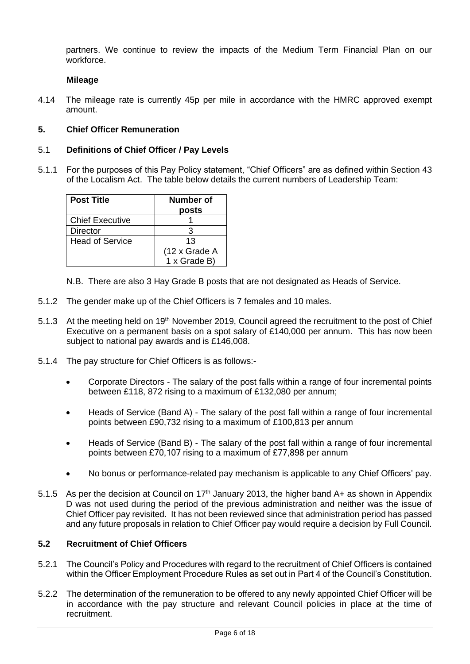partners. We continue to review the impacts of the Medium Term Financial Plan on our workforce.

### **Mileage**

4.14 The mileage rate is currently 45p per mile in accordance with the HMRC approved exempt amount.

### <span id="page-5-0"></span>**5. Chief Officer Remuneration**

#### 5.1 **Definitions of Chief Officer / Pay Levels**

5.1.1 For the purposes of this Pay Policy statement, "Chief Officers" are as defined within Section 43 of the Localism Act. The table below details the current numbers of Leadership Team:

| <b>Post Title</b>      | Number of<br>posts |
|------------------------|--------------------|
| <b>Chief Executive</b> |                    |
| Director               |                    |
| Head of Service        | 13                 |
|                        | (12 x Grade A      |
|                        | 1 x Grade B)       |

N.B. There are also 3 Hay Grade B posts that are not designated as Heads of Service.

- 5.1.2 The gender make up of the Chief Officers is 7 females and 10 males.
- 5.1.3 At the meeting held on 19<sup>th</sup> November 2019, Council agreed the recruitment to the post of Chief Executive on a permanent basis on a spot salary of £140,000 per annum. This has now been subject to national pay awards and is £146,008.
- 5.1.4 The pay structure for Chief Officers is as follows:-
	- Corporate Directors The salary of the post falls within a range of four incremental points between £118, 872 rising to a maximum of £132,080 per annum;
	- Heads of Service (Band A) The salary of the post fall within a range of four incremental points between £90,732 rising to a maximum of £100,813 per annum
	- Heads of Service (Band B) The salary of the post fall within a range of four incremental points between £70,107 rising to a maximum of £77,898 per annum
	- No bonus or performance-related pay mechanism is applicable to any Chief Officers' pay.
- 5.1.5 As per the decision at Council on  $17<sup>th</sup>$  January 2013, the higher band A+ as shown in Appendix D was not used during the period of the previous administration and neither was the issue of Chief Officer pay revisited. It has not been reviewed since that administration period has passed and any future proposals in relation to Chief Officer pay would require a decision by Full Council.

### **5.2 Recruitment of Chief Officers**

- 5.2.1 The Council's Policy and Procedures with regard to the recruitment of Chief Officers is contained within the Officer Employment Procedure Rules as set out in Part 4 of the Council's Constitution.
- 5.2.2 The determination of the remuneration to be offered to any newly appointed Chief Officer will be in accordance with the pay structure and relevant Council policies in place at the time of recruitment.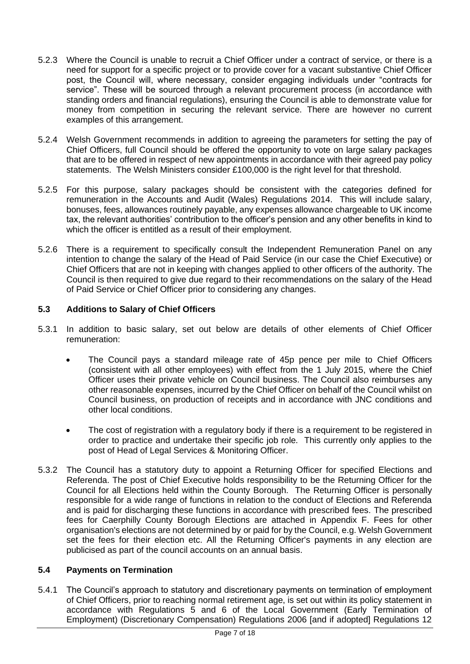- 5.2.3 Where the Council is unable to recruit a Chief Officer under a contract of service, or there is a need for support for a specific project or to provide cover for a vacant substantive Chief Officer post, the Council will, where necessary, consider engaging individuals under "contracts for service". These will be sourced through a relevant procurement process (in accordance with standing orders and financial regulations), ensuring the Council is able to demonstrate value for money from competition in securing the relevant service. There are however no current examples of this arrangement.
- 5.2.4 Welsh Government recommends in addition to agreeing the parameters for setting the pay of Chief Officers, full Council should be offered the opportunity to vote on large salary packages that are to be offered in respect of new appointments in accordance with their agreed pay policy statements. The Welsh Ministers consider £100,000 is the right level for that threshold.
- 5.2.5 For this purpose, salary packages should be consistent with the categories defined for remuneration in the Accounts and Audit (Wales) Regulations 2014. This will include salary, bonuses, fees, allowances routinely payable, any expenses allowance chargeable to UK income tax, the relevant authorities' contribution to the officer's pension and any other benefits in kind to which the officer is entitled as a result of their employment.
- 5.2.6 There is a requirement to specifically consult the Independent Remuneration Panel on any intention to change the salary of the Head of Paid Service (in our case the Chief Executive) or Chief Officers that are not in keeping with changes applied to other officers of the authority. The Council is then required to give due regard to their recommendations on the salary of the Head of Paid Service or Chief Officer prior to considering any changes.

### **5.3 Additions to Salary of Chief Officers**

- 5.3.1 In addition to basic salary, set out below are details of other elements of Chief Officer remuneration:
	- The Council pays a standard mileage rate of 45p pence per mile to Chief Officers (consistent with all other employees) with effect from the 1 July 2015, where the Chief Officer uses their private vehicle on Council business. The Council also reimburses any other reasonable expenses, incurred by the Chief Officer on behalf of the Council whilst on Council business, on production of receipts and in accordance with JNC conditions and other local conditions.
	- The cost of registration with a regulatory body if there is a requirement to be registered in order to practice and undertake their specific job role. This currently only applies to the post of Head of Legal Services & Monitoring Officer.
- 5.3.2 The Council has a statutory duty to appoint a Returning Officer for specified Elections and Referenda. The post of Chief Executive holds responsibility to be the Returning Officer for the Council for all Elections held within the County Borough. The Returning Officer is personally responsible for a wide range of functions in relation to the conduct of Elections and Referenda and is paid for discharging these functions in accordance with prescribed fees. The prescribed fees for Caerphilly County Borough Elections are attached in Appendix F. Fees for other organisation's elections are not determined by or paid for by the Council, e.g. Welsh Government set the fees for their election etc. All the Returning Officer's payments in any election are publicised as part of the council accounts on an annual basis.

### **5.4 Payments on Termination**

5.4.1 The Council's approach to statutory and discretionary payments on termination of employment of Chief Officers, prior to reaching normal retirement age, is set out within its policy statement in accordance with Regulations 5 and 6 of the Local Government (Early Termination of Employment) (Discretionary Compensation) Regulations 2006 [and if adopted] Regulations 12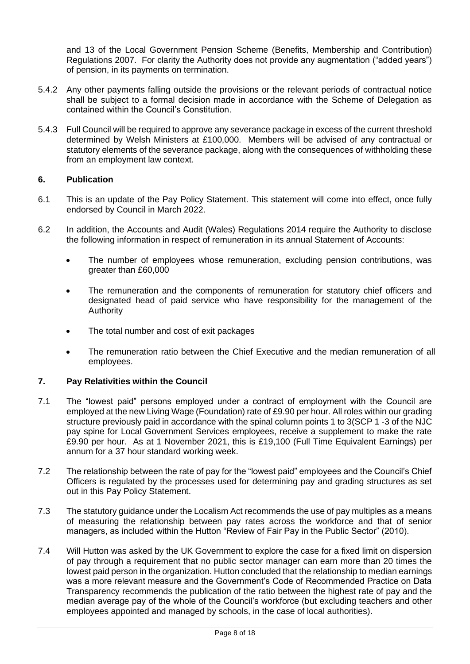and 13 of the Local Government Pension Scheme (Benefits, Membership and Contribution) Regulations 2007. For clarity the Authority does not provide any augmentation ("added years") of pension, in its payments on termination.

- 5.4.2 Any other payments falling outside the provisions or the relevant periods of contractual notice shall be subject to a formal decision made in accordance with the Scheme of Delegation as contained within the Council's Constitution.
- 5.4.3 Full Council will be required to approve any severance package in excess of the current threshold determined by Welsh Ministers at £100,000. Members will be advised of any contractual or statutory elements of the severance package, along with the consequences of withholding these from an employment law context.

### <span id="page-7-0"></span>**6. Publication**

- 6.1 This is an update of the Pay Policy Statement. This statement will come into effect, once fully endorsed by Council in March 2022.
- 6.2 In addition, the Accounts and Audit (Wales) Regulations 2014 require the Authority to disclose the following information in respect of remuneration in its annual Statement of Accounts:
	- The number of employees whose remuneration, excluding pension contributions, was greater than £60,000
	- The remuneration and the components of remuneration for statutory chief officers and designated head of paid service who have responsibility for the management of the Authority
	- The total number and cost of exit packages
	- The remuneration ratio between the Chief Executive and the median remuneration of all employees.

### <span id="page-7-1"></span>**7. Pay Relativities within the Council**

- 7.1 The "lowest paid" persons employed under a contract of employment with the Council are employed at the new Living Wage (Foundation) rate of £9.90 per hour. All roles within our grading structure previously paid in accordance with the spinal column points 1 to 3(SCP 1 -3 of the NJC pay spine for Local Government Services employees, receive a supplement to make the rate £9.90 per hour. As at 1 November 2021, this is £19,100 (Full Time Equivalent Earnings) per annum for a 37 hour standard working week.
- 7.2 The relationship between the rate of pay for the "lowest paid" employees and the Council's Chief Officers is regulated by the processes used for determining pay and grading structures as set out in this Pay Policy Statement.
- 7.3 The statutory guidance under the Localism Act recommends the use of pay multiples as a means of measuring the relationship between pay rates across the workforce and that of senior managers, as included within the Hutton "Review of Fair Pay in the Public Sector" (2010).
- 7.4 Will Hutton was asked by the UK Government to explore the case for a fixed limit on dispersion of pay through a requirement that no public sector manager can earn more than 20 times the lowest paid person in the organization. Hutton concluded that the relationship to median earnings was a more relevant measure and the Government's Code of Recommended Practice on Data Transparency recommends the publication of the ratio between the highest rate of pay and the median average pay of the whole of the Council's workforce (but excluding teachers and other employees appointed and managed by schools, in the case of local authorities).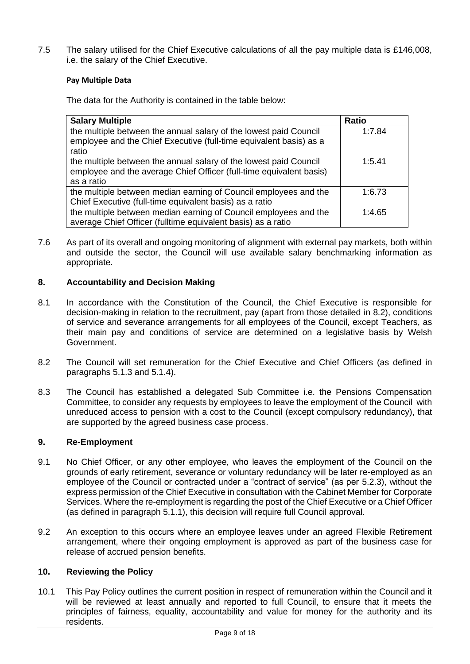7.5 The salary utilised for the Chief Executive calculations of all the pay multiple data is £146,008, i.e. the salary of the Chief Executive.

### **Pay Multiple Data**

The data for the Authority is contained in the table below:

| <b>Salary Multiple</b>                                                                                                                                 | <b>Ratio</b> |
|--------------------------------------------------------------------------------------------------------------------------------------------------------|--------------|
| the multiple between the annual salary of the lowest paid Council<br>employee and the Chief Executive (full-time equivalent basis) as a<br>ratio       | 1:7.84       |
| the multiple between the annual salary of the lowest paid Council<br>employee and the average Chief Officer (full-time equivalent basis)<br>as a ratio | 1:5.41       |
| the multiple between median earning of Council employees and the<br>Chief Executive (full-time equivalent basis) as a ratio                            | 1:6.73       |
| the multiple between median earning of Council employees and the<br>average Chief Officer (fulltime equivalent basis) as a ratio                       | 1:4.65       |

7.6 As part of its overall and ongoing monitoring of alignment with external pay markets, both within and outside the sector, the Council will use available salary benchmarking information as appropriate.

### <span id="page-8-0"></span>**8. Accountability and Decision Making**

- 8.1 In accordance with the Constitution of the Council, the Chief Executive is responsible for decision-making in relation to the recruitment, pay (apart from those detailed in 8.2), conditions of service and severance arrangements for all employees of the Council, except Teachers, as their main pay and conditions of service are determined on a legislative basis by Welsh Government.
- 8.2 The Council will set remuneration for the Chief Executive and Chief Officers (as defined in paragraphs 5.1.3 and 5.1.4).
- 8.3 The Council has established a delegated Sub Committee i.e. the Pensions Compensation Committee, to consider any requests by employees to leave the employment of the Council with unreduced access to pension with a cost to the Council (except compulsory redundancy), that are supported by the agreed business case process.

### <span id="page-8-1"></span>**9. Re-Employment**

- 9.1 No Chief Officer, or any other employee, who leaves the employment of the Council on the grounds of early retirement, severance or voluntary redundancy will be later re-employed as an employee of the Council or contracted under a "contract of service" (as per 5.2.3), without the express permission of the Chief Executive in consultation with the Cabinet Member for Corporate Services. Where the re-employment is regarding the post of the Chief Executive or a Chief Officer (as defined in paragraph 5.1.1), this decision will require full Council approval.
- 9.2 An exception to this occurs where an employee leaves under an agreed Flexible Retirement arrangement, where their ongoing employment is approved as part of the business case for release of accrued pension benefits.

### <span id="page-8-2"></span>**10. Reviewing the Policy**

10.1 This Pay Policy outlines the current position in respect of remuneration within the Council and it will be reviewed at least annually and reported to full Council, to ensure that it meets the principles of fairness, equality, accountability and value for money for the authority and its residents.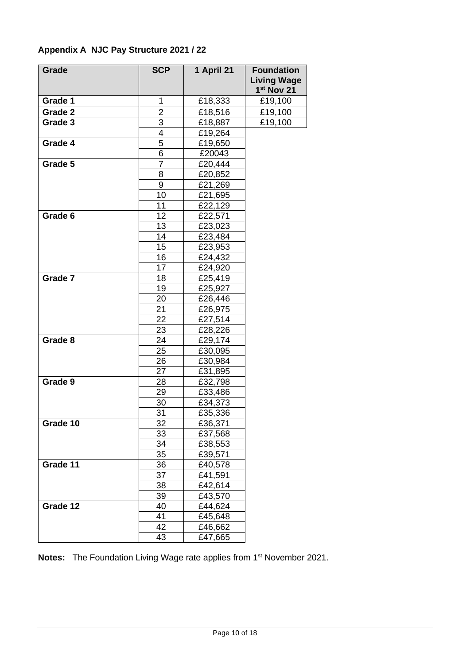| <b>Grade</b> | <b>SCP</b>     | 1 April 21 | <b>Foundation</b><br><b>Living Wage</b><br>1 <sup>st</sup> Nov 21 |
|--------------|----------------|------------|-------------------------------------------------------------------|
| Grade 1      | 1              | £18,333    | £19,100                                                           |
| Grade 2      | $\overline{2}$ | £18,516    | £19,100                                                           |
| Grade 3      | 3              | £18,887    | £19,100                                                           |
|              | 4              | £19,264    |                                                                   |
| Grade 4      | 5              | £19,650    |                                                                   |
|              | 6              | £20043     |                                                                   |
| Grade 5      | $\overline{7}$ | £20,444    |                                                                   |
|              | 8              | £20,852    |                                                                   |
|              | 9              | £21,269    |                                                                   |
|              | 10             | £21,695    |                                                                   |
|              | 11             | £22,129    |                                                                   |
| Grade 6      | 12             | £22,571    |                                                                   |
|              | 13             | £23,023    |                                                                   |
|              | 14             | £23,484    |                                                                   |
|              | 15             | £23,953    |                                                                   |
|              | 16             | £24,432    |                                                                   |
|              | 17             | £24,920    |                                                                   |
| Grade 7      | 18             | £25,419    |                                                                   |
|              | 19             | £25,927    |                                                                   |
|              | 20             | £26,446    |                                                                   |
|              | 21             | £26,975    |                                                                   |
|              | 22             | £27,514    |                                                                   |
|              | 23             | £28,226    |                                                                   |
| Grade 8      | 24             | £29,174    |                                                                   |
|              | 25             | £30,095    |                                                                   |
|              | 26             | £30,984    |                                                                   |
|              | 27             | £31,895    |                                                                   |
| Grade 9      | 28             | £32,798    |                                                                   |
|              | 29             | £33,486    |                                                                   |
|              | 30             | £34,373    |                                                                   |
|              | 31             | £35,336    |                                                                   |
| Grade 10     | 32             | £36,371    |                                                                   |
|              | 33             | £37,568    |                                                                   |
|              | 34             | £38,553    |                                                                   |
|              | 35             | £39,571    |                                                                   |
| Grade 11     | 36             | £40,578    |                                                                   |
|              | 37             | £41,591    |                                                                   |
|              | 38             | £42,614    |                                                                   |
|              | 39             | £43,570    |                                                                   |
| Grade 12     | 40             | £44,624    |                                                                   |
|              | 41             | £45,648    |                                                                   |
|              | 42             | £46,662    |                                                                   |
|              | 43             | £47,665    |                                                                   |

# **Appendix A NJC Pay Structure 2021 / 22**

Notes: The Foundation Living Wage rate applies from 1<sup>st</sup> November 2021.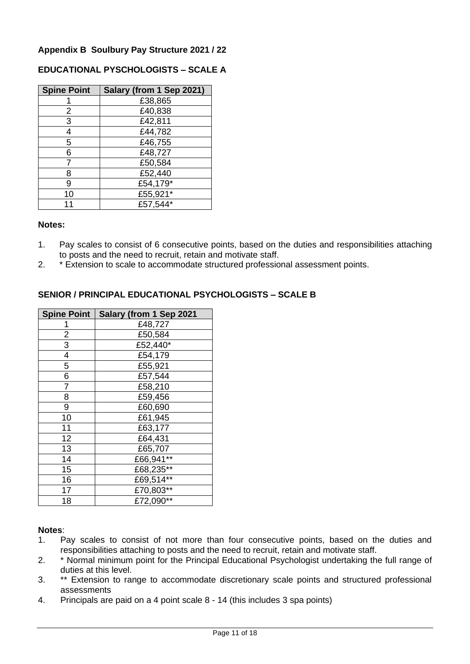# **Appendix B Soulbury Pay Structure 2021 / 22**

### **EDUCATIONAL PYSCHOLOGISTS – SCALE A**

| <b>Spine Point</b> | Salary (from 1 Sep 2021) |
|--------------------|--------------------------|
|                    | £38,865                  |
| 2                  | £40,838                  |
| 3                  | £42,811                  |
|                    | £44,782                  |
| 5                  | £46,755                  |
| 6                  | £48,727                  |
|                    | £50,584                  |
| 8                  | £52,440                  |
| 9                  | £54,179*                 |
| 10                 | £55,921*                 |
|                    | £57,544*                 |

#### **Notes:**

- 1. Pay scales to consist of 6 consecutive points, based on the duties and responsibilities attaching to posts and the need to recruit, retain and motivate staff.
- 2. \* Extension to scale to accommodate structured professional assessment points.

### **SENIOR / PRINCIPAL EDUCATIONAL PSYCHOLOGISTS – SCALE B**

| <b>Spine Point</b> | Salary (from 1 Sep 2021 |
|--------------------|-------------------------|
|                    | £48,727                 |
| 2                  | £50,584                 |
| 3                  | £52,440*                |
| 4                  | £54,179                 |
| 5                  | £55,921                 |
| 6                  | £57,544                 |
|                    | £58,210                 |
| 8                  | £59,456                 |
| 9                  | £60,690                 |
| 10                 | £61,945                 |
| 11                 | £63,177                 |
| 12                 | £64,431                 |
| 13                 | £65,707                 |
| 14                 | £66,941**               |
| 15                 | £68,235**               |
| 16                 | £69,514**               |
| 17                 | £70,803**               |
| 18                 | £72,090**               |

### **Notes**:

- 1. Pay scales to consist of not more than four consecutive points, based on the duties and responsibilities attaching to posts and the need to recruit, retain and motivate staff.
- 2. \* Normal minimum point for the Principal Educational Psychologist undertaking the full range of duties at this level.
- 3. \*\* Extension to range to accommodate discretionary scale points and structured professional assessments
- 4. Principals are paid on a 4 point scale 8 14 (this includes 3 spa points)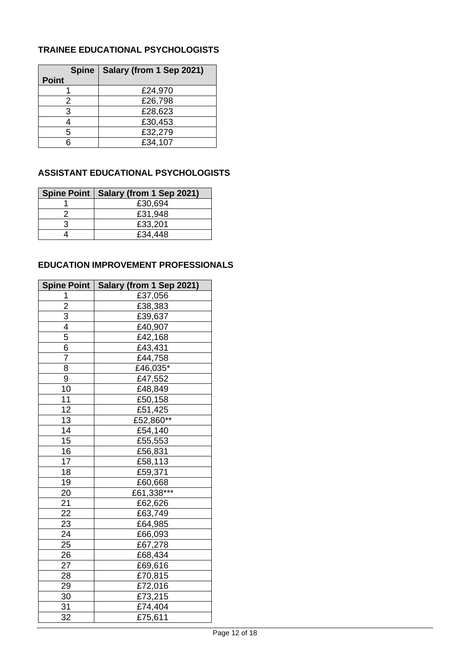# **TRAINEE EDUCATIONAL PSYCHOLOGISTS**

|              | Spine   Salary (from 1 Sep 2021) |
|--------------|----------------------------------|
| <b>Point</b> |                                  |
|              | £24,970                          |
|              | £26,798                          |
| 3            | £28,623                          |
|              | £30,453                          |
| 5            | £32,279                          |
|              | £34,107                          |

# **ASSISTANT EDUCATIONAL PSYCHOLOGISTS**

| Spine Point   Salary (from 1 Sep 2021) |
|----------------------------------------|
| £30,694                                |
| £31,948                                |
| £33,201                                |
| £34,448                                |

# **EDUCATION IMPROVEMENT PROFESSIONALS**

| Spine Point     | Salary (from 1 Sep 2021) |
|-----------------|--------------------------|
| 1               | £37,056                  |
| $\overline{c}$  | £38,383                  |
| $\overline{3}$  | £39,637                  |
| 4               | £40,907                  |
| $\overline{5}$  | £42,168                  |
| $\overline{6}$  | £43,431                  |
| 7               | £44,758                  |
| 8               | £46,035*                 |
| 9               | £47,552                  |
| 10              | £48,849                  |
| 11              | £50,158                  |
| 12              | £51,425                  |
| $\overline{13}$ | £52,860**                |
| $\overline{14}$ | £54,140                  |
| 15              | £55,553                  |
| 16              | £56,831                  |
| 17              | £58,113                  |
| 18              | £59,371                  |
| 19              | £60,668                  |
| 20              | £61,338***               |
| 21              | £62,626                  |
| $\overline{22}$ | £63,749                  |
| $\overline{23}$ | £64,985                  |
| $\overline{24}$ | £66,093                  |
| 25              | £67,278                  |
| 26              | £68,434                  |
| 27              | £69,616                  |
| 28              | £70,815                  |
| 29              | £72,016                  |
| 30              | £73,215                  |
| 31              | £74,404                  |
| 32              | £75,611                  |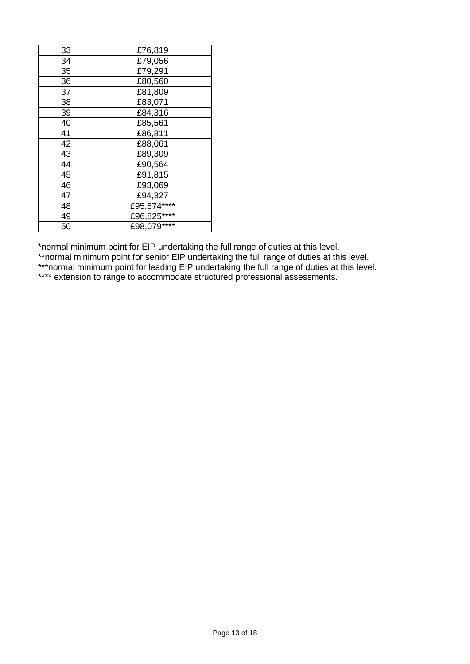| 33 | £76,819     |
|----|-------------|
| 34 | £79,056     |
| 35 | £79,291     |
| 36 | £80,560     |
| 37 | £81,809     |
| 38 | £83,071     |
| 39 | £84,316     |
| 40 | £85,561     |
| 41 | £86,811     |
| 42 | £88,061     |
| 43 | £89,309     |
| 44 | £90,564     |
| 45 | £91,815     |
| 46 | £93,069     |
| 47 | £94,327     |
| 48 | £95,574**** |
| 49 | £96,825**** |
| 50 | £98,079**** |

\*normal minimum point for EIP undertaking the full range of duties at this level.

\*\*normal minimum point for senior EIP undertaking the full range of duties at this level.

\*\*\*normal minimum point for leading EIP undertaking the full range of duties at this level.

\*\*\*\* extension to range to accommodate structured professional assessments.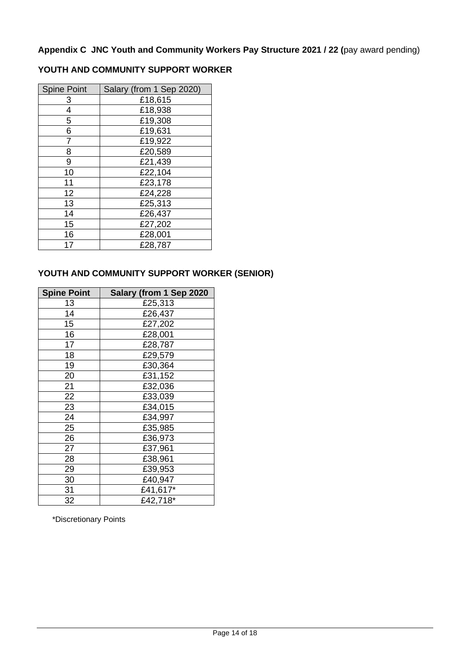**Appendix C JNC Youth and Community Workers Pay Structure 2021 / 22 (**pay award pending)

# **YOUTH AND COMMUNITY SUPPORT WORKER**

| <b>Spine Point</b> | Salary (from 1 Sep 2020) |
|--------------------|--------------------------|
| З                  | £18,615                  |
| 4                  | £18,938                  |
| 5                  | £19,308                  |
| 6                  | £19,631                  |
|                    | £19,922                  |
| 8                  | £20,589                  |
| 9                  | £21,439                  |
| 10                 | £22,104                  |
| 11                 | £23,178                  |
| 12                 | £24,228                  |
| 13                 | £25,313                  |
| 14                 | £26,437                  |
| 15                 | £27,202                  |
| 16                 | £28,001                  |
| 17                 | £28,787                  |

# **YOUTH AND COMMUNITY SUPPORT WORKER (SENIOR)**

| <b>Spine Point</b> | Salary (from 1 Sep 2020 |
|--------------------|-------------------------|
| 13                 | £25,313                 |
| 14                 | £26,437                 |
| 15                 | £27,202                 |
| 16                 | £28,001                 |
| 17                 | £28,787                 |
| 18                 | £29,579                 |
| 19                 | £30,364                 |
| 20                 | £31,152                 |
| 21                 | £32,036                 |
| 22                 | £33,039                 |
| 23                 | £34,015                 |
| 24                 | £34,997                 |
| 25                 | £35,985                 |
| 26                 | £36,973                 |
| 27                 | £37,961                 |
| 28                 | £38,961                 |
| 29                 | £39,953                 |
| 30                 | £40,947                 |
| 31                 | £41,617*                |
| 32                 | £42,718*                |

\*Discretionary Points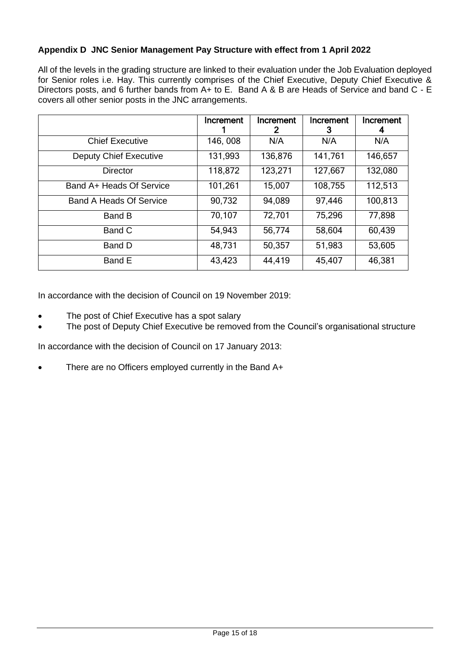# **Appendix D JNC Senior Management Pay Structure with effect from 1 April 2022**

All of the levels in the grading structure are linked to their evaluation under the Job Evaluation deployed for Senior roles i.e. Hay. This currently comprises of the Chief Executive, Deputy Chief Executive & Directors posts, and 6 further bands from A+ to E. Band A & B are Heads of Service and band C - E covers all other senior posts in the JNC arrangements.

|                                | Increment | Increment<br>2 | Increment<br>3 | Increment<br>4 |
|--------------------------------|-----------|----------------|----------------|----------------|
| <b>Chief Executive</b>         | 146, 008  | N/A            | N/A            | N/A            |
| <b>Deputy Chief Executive</b>  | 131,993   | 136,876        | 141,761        | 146,657        |
| <b>Director</b>                | 118,872   | 123,271        | 127,667        | 132,080        |
| Band A+ Heads Of Service       | 101,261   | 15,007         | 108,755        | 112,513        |
| <b>Band A Heads Of Service</b> | 90,732    | 94,089         | 97,446         | 100,813        |
| Band B                         | 70,107    | 72,701         | 75,296         | 77,898         |
| Band C                         | 54,943    | 56,774         | 58,604         | 60,439         |
| Band D                         | 48,731    | 50,357         | 51,983         | 53,605         |
| Band E                         | 43,423    | 44,419         | 45,407         | 46,381         |

In accordance with the decision of Council on 19 November 2019:

- The post of Chief Executive has a spot salary
- The post of Deputy Chief Executive be removed from the Council's organisational structure

In accordance with the decision of Council on 17 January 2013:

<span id="page-14-0"></span>• There are no Officers employed currently in the Band A+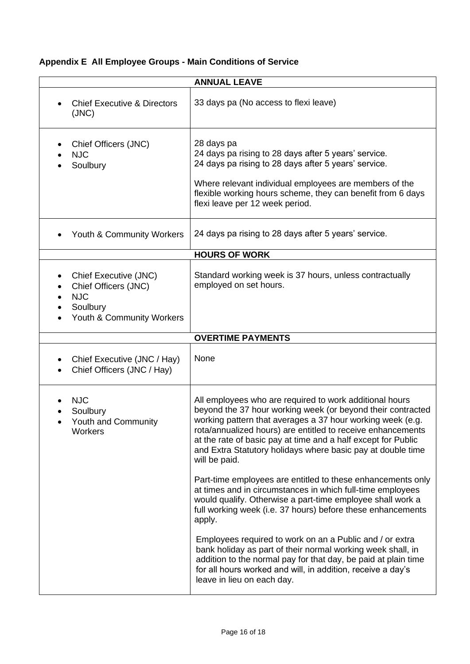# <span id="page-15-0"></span>**Appendix E All Employee Groups - Main Conditions of Service**

| <b>ANNUAL LEAVE</b>                                                                                               |                                                                                                                                                                                                                                                                                                                                                                                                                                                                                                                                                                                                                                                                                                                                                                                                     |  |  |
|-------------------------------------------------------------------------------------------------------------------|-----------------------------------------------------------------------------------------------------------------------------------------------------------------------------------------------------------------------------------------------------------------------------------------------------------------------------------------------------------------------------------------------------------------------------------------------------------------------------------------------------------------------------------------------------------------------------------------------------------------------------------------------------------------------------------------------------------------------------------------------------------------------------------------------------|--|--|
| <b>Chief Executive &amp; Directors</b><br>(JNC)                                                                   | 33 days pa (No access to flexi leave)                                                                                                                                                                                                                                                                                                                                                                                                                                                                                                                                                                                                                                                                                                                                                               |  |  |
| Chief Officers (JNC)<br><b>NJC</b><br>Soulbury                                                                    | 28 days pa<br>24 days pa rising to 28 days after 5 years' service.<br>24 days pa rising to 28 days after 5 years' service.<br>Where relevant individual employees are members of the<br>flexible working hours scheme, they can benefit from 6 days<br>flexi leave per 12 week period.                                                                                                                                                                                                                                                                                                                                                                                                                                                                                                              |  |  |
| Youth & Community Workers                                                                                         | 24 days pa rising to 28 days after 5 years' service.                                                                                                                                                                                                                                                                                                                                                                                                                                                                                                                                                                                                                                                                                                                                                |  |  |
|                                                                                                                   | <b>HOURS OF WORK</b>                                                                                                                                                                                                                                                                                                                                                                                                                                                                                                                                                                                                                                                                                                                                                                                |  |  |
| Chief Executive (JNC)<br>$\bullet$<br>Chief Officers (JNC)<br><b>NJC</b><br>Soulbury<br>Youth & Community Workers | Standard working week is 37 hours, unless contractually<br>employed on set hours.                                                                                                                                                                                                                                                                                                                                                                                                                                                                                                                                                                                                                                                                                                                   |  |  |
|                                                                                                                   | <b>OVERTIME PAYMENTS</b>                                                                                                                                                                                                                                                                                                                                                                                                                                                                                                                                                                                                                                                                                                                                                                            |  |  |
| Chief Executive (JNC / Hay)<br>Chief Officers (JNC / Hay)                                                         | None                                                                                                                                                                                                                                                                                                                                                                                                                                                                                                                                                                                                                                                                                                                                                                                                |  |  |
| <b>NJC</b><br>Soulbury<br>Youth and Community<br>Workers                                                          | All employees who are required to work additional hours<br>beyond the 37 hour working week (or beyond their contracted<br>working pattern that averages a 37 hour working week (e.g.<br>rota/annualized hours) are entitled to receive enhancements<br>at the rate of basic pay at time and a half except for Public<br>and Extra Statutory holidays where basic pay at double time<br>will be paid.<br>Part-time employees are entitled to these enhancements only<br>at times and in circumstances in which full-time employees<br>would qualify. Otherwise a part-time employee shall work a<br>full working week (i.e. 37 hours) before these enhancements<br>apply.<br>Employees required to work on an a Public and / or extra<br>bank holiday as part of their normal working week shall, in |  |  |
|                                                                                                                   | addition to the normal pay for that day, be paid at plain time<br>for all hours worked and will, in addition, receive a day's<br>leave in lieu on each day.                                                                                                                                                                                                                                                                                                                                                                                                                                                                                                                                                                                                                                         |  |  |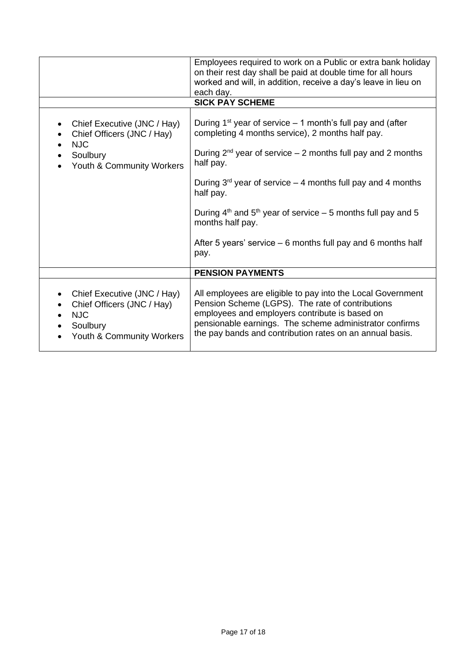|                                                                                                                                    | Employees required to work on a Public or extra bank holiday<br>on their rest day shall be paid at double time for all hours<br>worked and will, in addition, receive a day's leave in lieu on                                                                                           |
|------------------------------------------------------------------------------------------------------------------------------------|------------------------------------------------------------------------------------------------------------------------------------------------------------------------------------------------------------------------------------------------------------------------------------------|
|                                                                                                                                    | each day.                                                                                                                                                                                                                                                                                |
|                                                                                                                                    | <b>SICK PAY SCHEME</b>                                                                                                                                                                                                                                                                   |
|                                                                                                                                    |                                                                                                                                                                                                                                                                                          |
| Chief Executive (JNC / Hay)<br>$\bullet$<br>Chief Officers (JNC / Hay)<br><b>NJC</b>                                               | During 1 <sup>st</sup> year of service $-$ 1 month's full pay and (after<br>completing 4 months service), 2 months half pay.                                                                                                                                                             |
| Soulbury<br>Youth & Community Workers                                                                                              | During $2^{nd}$ year of service – 2 months full pay and 2 months<br>half pay.                                                                                                                                                                                                            |
|                                                                                                                                    | During $3^{rd}$ year of service – 4 months full pay and 4 months<br>half pay.                                                                                                                                                                                                            |
|                                                                                                                                    | During $4th$ and $5th$ year of service – 5 months full pay and 5<br>months half pay.                                                                                                                                                                                                     |
|                                                                                                                                    | After 5 years' service $-6$ months full pay and 6 months half<br>pay.                                                                                                                                                                                                                    |
|                                                                                                                                    | <b>PENSION PAYMENTS</b>                                                                                                                                                                                                                                                                  |
| Chief Executive (JNC / Hay)<br>٠<br>Chief Officers (JNC / Hay)<br><b>NJC</b><br>$\bullet$<br>Soulbury<br>Youth & Community Workers | All employees are eligible to pay into the Local Government<br>Pension Scheme (LGPS). The rate of contributions<br>employees and employers contribute is based on<br>pensionable earnings. The scheme administrator confirms<br>the pay bands and contribution rates on an annual basis. |